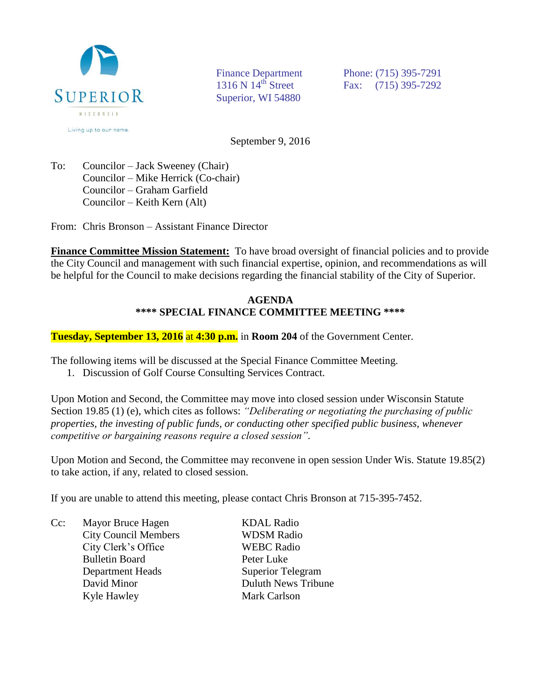

Superior, WI 54880

Finance Department Phone: (715) 395-7291 1316 N 14<sup>th</sup> Street Fax: (715) 395-7292

September 9, 2016

To: Councilor – Jack Sweeney (Chair) Councilor – Mike Herrick (Co-chair) Councilor – Graham Garfield Councilor – Keith Kern (Alt)

From: Chris Bronson – Assistant Finance Director

**Finance Committee Mission Statement:** To have broad oversight of financial policies and to provide the City Council and management with such financial expertise, opinion, and recommendations as will be helpful for the Council to make decisions regarding the financial stability of the City of Superior.

## **AGENDA \*\*\*\* SPECIAL FINANCE COMMITTEE MEETING \*\*\*\***

**Tuesday, September 13, 2016** at **4:30 p.m.** in **Room 204** of the Government Center.

The following items will be discussed at the Special Finance Committee Meeting.

1. Discussion of Golf Course Consulting Services Contract.

Upon Motion and Second, the Committee may move into closed session under Wisconsin Statute Section 19.85 (1) (e), which cites as follows: *"Deliberating or negotiating the purchasing of public properties, the investing of public funds, or conducting other specified public business, whenever competitive or bargaining reasons require a closed session".*

Upon Motion and Second, the Committee may reconvene in open session Under Wis. Statute 19.85(2) to take action, if any, related to closed session.

If you are unable to attend this meeting, please contact Chris Bronson at 715-395-7452.

Cc: Mayor Bruce Hagen KDAL Radio City Council Members WDSM Radio City Clerk's Office WEBC Radio Bulletin Board Peter Luke Department Heads Superior Telegram David Minor **Duluth News Tribune** Kyle Hawley Mark Carlson